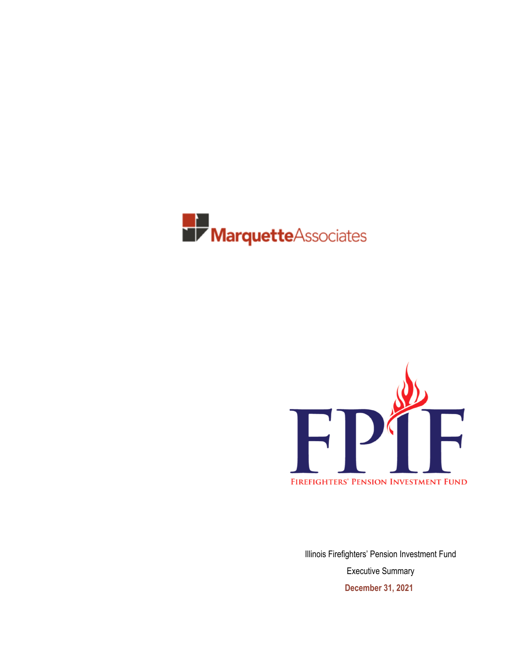



Illinois Firefighters' Pension Investment Fund Executive Summary **December 31, 2021**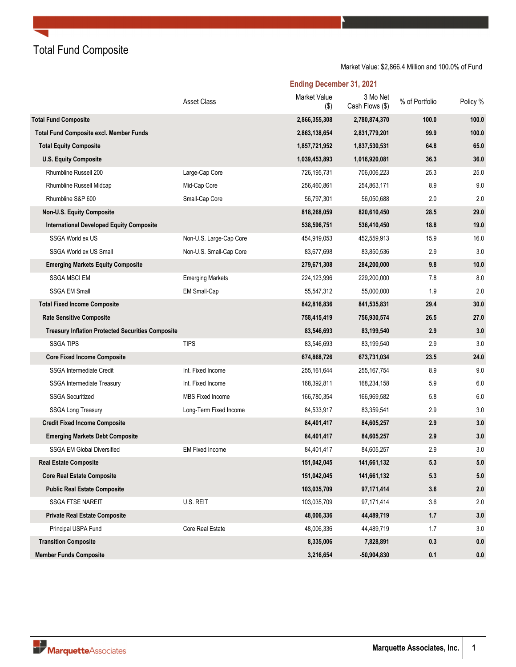Total Fund Composite

Market Value: \$2,866.4 Million and 100.0% of Fund

|                                                          | <b>Asset Class</b>      | Market Value<br>$($ \$) | 3 Mo Net<br>Cash Flows (\$) | % of Portfolio | Policy % |
|----------------------------------------------------------|-------------------------|-------------------------|-----------------------------|----------------|----------|
| <b>Total Fund Composite</b>                              |                         | 2,866,355,308           | 2,780,874,370               | 100.0          | 100.0    |
| <b>Total Fund Composite excl. Member Funds</b>           |                         | 2,863,138,654           | 2,831,779,201               | 99.9           | 100.0    |
| <b>Total Equity Composite</b>                            |                         | 1,857,721,952           | 1,837,530,531               | 64.8           | 65.0     |
| <b>U.S. Equity Composite</b>                             |                         | 1,039,453,893           | 1,016,920,081               | 36.3           | 36.0     |
| Rhumbline Russell 200                                    | Large-Cap Core          | 726,195,731             | 706,006,223                 | 25.3           | 25.0     |
| Rhumbline Russell Midcap                                 | Mid-Cap Core            | 256,460,861             | 254,863,171                 | 8.9            | 9.0      |
| Rhumbline S&P 600                                        | Small-Cap Core          | 56,797,301              | 56,050,688                  | 2.0            | 2.0      |
| Non-U.S. Equity Composite                                |                         | 818,268,059             | 820,610,450                 | 28.5           | 29.0     |
| <b>International Developed Equity Composite</b>          |                         | 538,596,751             | 536,410,450                 | 18.8           | 19.0     |
| SSGA World ex US                                         | Non-U.S. Large-Cap Core | 454,919,053             | 452,559,913                 | 15.9           | 16.0     |
| SSGA World ex US Small                                   | Non-U.S. Small-Cap Core | 83,677,698              | 83,850,536                  | 2.9            | 3.0      |
| <b>Emerging Markets Equity Composite</b>                 |                         | 279,671,308             | 284,200,000                 | 9.8            | 10.0     |
| <b>SSGA MSCI EM</b>                                      | <b>Emerging Markets</b> | 224,123,996             | 229,200,000                 | 7.8            | 8.0      |
| <b>SSGA EM Small</b>                                     | <b>EM Small-Cap</b>     | 55,547,312              | 55,000,000                  | 1.9            | 2.0      |
| <b>Total Fixed Income Composite</b>                      |                         | 842,816,836             | 841,535,831                 | 29.4           | 30.0     |
| <b>Rate Sensitive Composite</b>                          |                         | 758,415,419             | 756,930,574                 | 26.5           | 27.0     |
| <b>Treasury Inflation Protected Securities Composite</b> |                         | 83,546,693              | 83,199,540                  | 2.9            | 3.0      |
| <b>SSGA TIPS</b>                                         | <b>TIPS</b>             | 83,546,693              | 83,199,540                  | 2.9            | 3.0      |
| <b>Core Fixed Income Composite</b>                       |                         | 674,868,726             | 673,731,034                 | 23.5           | 24.0     |
| <b>SSGA Intermediate Credit</b>                          | Int. Fixed Income       | 255, 161, 644           | 255, 167, 754               | 8.9            | 9.0      |
| SSGA Intermediate Treasury                               | Int. Fixed Income       | 168,392,811             | 168,234,158                 | 5.9            | 6.0      |
| <b>SSGA Securitized</b>                                  | <b>MBS Fixed Income</b> | 166,780,354             | 166,969,582                 | 5.8            | 6.0      |
| <b>SSGA Long Treasury</b>                                | Long-Term Fixed Income  | 84,533,917              | 83,359,541                  | 2.9            | 3.0      |
| <b>Credit Fixed Income Composite</b>                     |                         | 84,401,417              | 84,605,257                  | 2.9            | 3.0      |
| <b>Emerging Markets Debt Composite</b>                   |                         | 84,401,417              | 84,605,257                  | 2.9            | 3.0      |
| <b>SSGA EM Global Diversified</b>                        | <b>EM Fixed Income</b>  | 84,401,417              | 84,605,257                  | 2.9            | 3.0      |
| <b>Real Estate Composite</b>                             |                         | 151,042,045             | 141,661,132                 | 5.3            | 5.0      |
| <b>Core Real Estate Composite</b>                        |                         | 151,042,045             | 141,661,132                 | 5.3            | 5.0      |
| <b>Public Real Estate Composite</b>                      |                         | 103,035,709             | 97,171,414                  | 3.6            | 2.0      |
| SSGA FTSE NAREIT                                         | U.S. REIT               | 103,035,709             | 97,171,414                  | 3.6            | 2.0      |
| <b>Private Real Estate Composite</b>                     |                         | 48,006,336              | 44,489,719                  | $1.7$          | 3.0      |
| Principal USPA Fund                                      | Core Real Estate        | 48,006,336              | 44,489,719                  | 1.7            | 3.0      |
| <b>Transition Composite</b>                              |                         | 8,335,006               | 7,828,891                   | $0.3\,$        | 0.0      |
| <b>Member Funds Composite</b>                            |                         | 3,216,654               | $-50,904,830$               | 0.1            | 0.0      |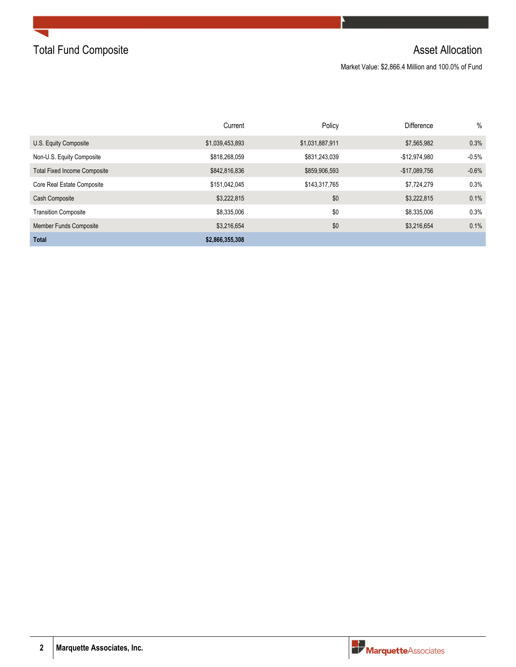

Market Value: \$2,866.4 Million and 100.0% of Fund

|                                     | Current         | Policy          | <b>Difference</b> | $\%$    |
|-------------------------------------|-----------------|-----------------|-------------------|---------|
| U.S. Equity Composite               | \$1,039,453,893 | \$1,031,887,911 | \$7,565,982       | 0.3%    |
| Non-U.S. Equity Composite           | \$818,268,059   | \$831,243,039   | $-$12,974,980$    | $-0.5%$ |
| <b>Total Fixed Income Composite</b> | \$842,816,836   | \$859,906,593   | $-$17,089,756$    | $-0.6%$ |
| Core Real Estate Composite          | \$151,042,045   | \$143,317,765   | \$7,724,279       | 0.3%    |
| Cash Composite                      | \$3,222,815     | \$0             | \$3,222,815       | 0.1%    |
| <b>Transition Composite</b>         | \$8,335,006     | \$0             | \$8,335,006       | 0.3%    |
| <b>Member Funds Composite</b>       | \$3,216,654     | \$0             | \$3,216,654       | 0.1%    |
| <b>Total</b>                        | \$2,866,355,308 |                 |                   |         |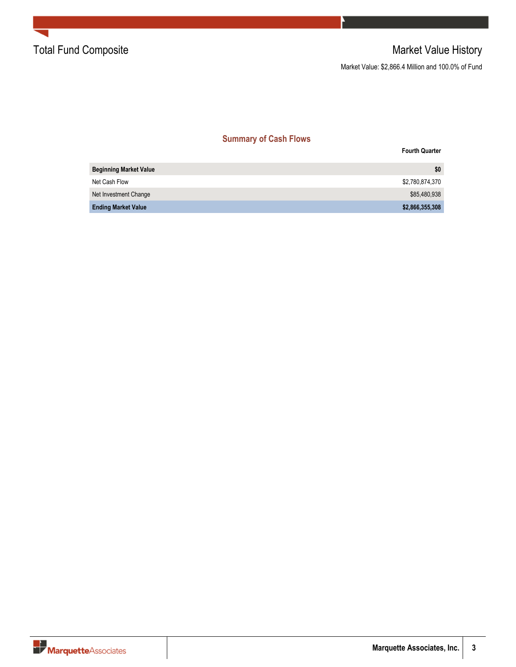

Market Value: \$2,866.4 Million and 100.0% of Fund

### **Summary of Cash Flows**

|                               | <b>Fourth Quarter</b> |
|-------------------------------|-----------------------|
| <b>Beginning Market Value</b> | \$0                   |
| Net Cash Flow                 | \$2,780,874,370       |
| Net Investment Change         | \$85,480,938          |
| <b>Ending Market Value</b>    | \$2,866,355,308       |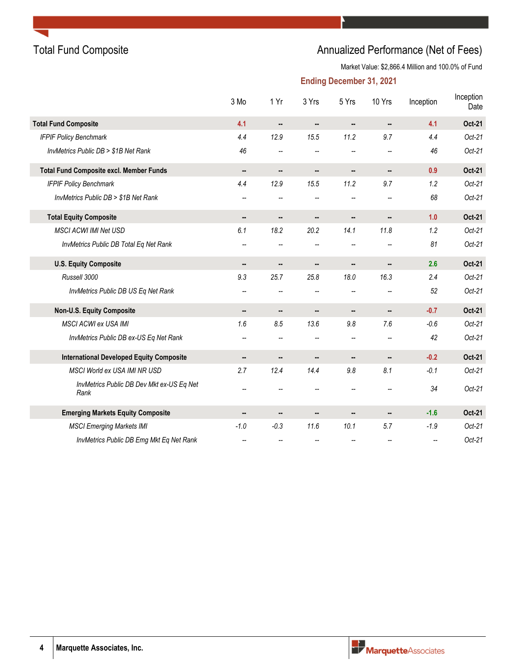# Total Fund Composite **Annualized Performance (Net of Fees)** Annualized Performance (Net of Fees)

Market Value: \$2,866.4 Million and 100.0% of Fund

|                                                   | 3 Mo                     | 1 Yr                 | 3 Yrs                    | 5 Yrs                    | 10 Yrs                   | Inception                | Inception<br>Date |
|---------------------------------------------------|--------------------------|----------------------|--------------------------|--------------------------|--------------------------|--------------------------|-------------------|
| <b>Total Fund Composite</b>                       | 4.1                      |                      | ۰.                       |                          | ۰.                       | 4.1                      | Oct-21            |
| <b>IFPIF Policy Benchmark</b>                     | 4.4                      | 12.9                 | 15.5                     | 11.2                     | 9.7                      | 4.4                      | $Oct-21$          |
| InvMetrics Public DB > \$1B Net Rank              | 46                       | --                   | $\overline{\phantom{m}}$ |                          | $-$                      | 46                       | $Oct-21$          |
| <b>Total Fund Composite excl. Member Funds</b>    |                          | ۰.                   |                          |                          | н.                       | 0.9                      | Oct-21            |
| <b>IFPIF Policy Benchmark</b>                     | 4.4                      | 12.9                 | 15.5                     | 11.2                     | 9.7                      | 1.2                      | $Oct-21$          |
| InvMetrics Public DB > \$1B Net Rank              | --                       | --                   | --                       | $\overline{\phantom{a}}$ | $\overline{\phantom{a}}$ | 68                       | $Oct-21$          |
| <b>Total Equity Composite</b>                     | ۰.                       | ۰.                   | ۰.                       |                          | н.                       | 1.0                      | Oct-21            |
| <b>MSCI ACWI IMI Net USD</b>                      | 6.1                      | 18.2                 | 20.2                     | 14.1                     | 11.8                     | 1.2                      | $Oct-21$          |
| InvMetrics Public DB Total Eq Net Rank            | $\overline{\phantom{a}}$ | $\overline{a}$       | $\overline{\phantom{a}}$ | $\overline{\phantom{a}}$ | $\overline{\phantom{a}}$ | 81                       | $Oct-21$          |
| <b>U.S. Equity Composite</b>                      |                          |                      | ۰.                       |                          |                          | 2.6                      | Oct-21            |
| Russell 3000                                      | 9.3                      | 25.7                 | 25.8                     | 18.0                     | 16.3                     | 2.4                      | $Oct-21$          |
| InvMetrics Public DB US Eq Net Rank               | --                       | --                   | --                       | --                       | --                       | 52                       | $Oct-21$          |
| Non-U.S. Equity Composite                         |                          | $\ddot{\phantom{a}}$ | ۰.                       |                          |                          | $-0.7$                   | Oct-21            |
| <b>MSCI ACWI ex USA IMI</b>                       | 1.6                      | 8.5                  | 13.6                     | 9.8                      | 7.6                      | $-0.6$                   | $Oct-21$          |
| InvMetrics Public DB ex-US Eq Net Rank            | --                       | --                   | --                       | $\overline{\phantom{a}}$ | --                       | 42                       | $Oct-21$          |
| <b>International Developed Equity Composite</b>   |                          |                      |                          |                          |                          | $-0.2$                   | Oct-21            |
| <b>MSCI World ex USA IMI NR USD</b>               | 2.7                      | 12.4                 | 14.4                     | 9.8                      | 8.1                      | $-0.1$                   | $Oct-21$          |
| InvMetrics Public DB Dev Mkt ex-US Eq Net<br>Rank | --                       |                      |                          |                          |                          | 34                       | $Oct-21$          |
| <b>Emerging Markets Equity Composite</b>          |                          |                      |                          |                          |                          | $-1.6$                   | Oct-21            |
| <b>MSCI Emerging Markets IMI</b>                  | $-1.0$                   | $-0.3$               | 11.6                     | 10.1                     | 5.7                      | $-1.9$                   | $Oct-21$          |
| InvMetrics Public DB Emg Mkt Eq Net Rank          | --                       |                      |                          |                          |                          | $\overline{\phantom{a}}$ | $Oct-21$          |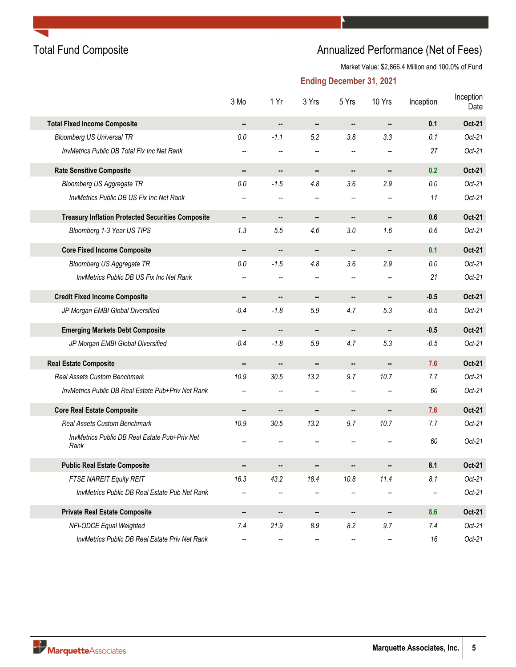

# Total Fund Composite **Annualized Performance (Net of Fees)** Annualized Performance (Net of Fees)

Market Value: \$2,866.4 Million and 100.0% of Fund

|                                                          | 3 Mo                     | 1 Yr                     | 3 Yrs          | 5 Yrs          | 10 Yrs | Inception | Inception<br>Date |
|----------------------------------------------------------|--------------------------|--------------------------|----------------|----------------|--------|-----------|-------------------|
| <b>Total Fixed Income Composite</b>                      |                          |                          |                |                |        | 0.1       | Oct-21            |
| <b>Bloomberg US Universal TR</b>                         | 0.0                      | $-1.1$                   | 5.2            | 3.8            | 3.3    | 0.1       | $Oct-21$          |
| InvMetrics Public DB Total Fix Inc Net Rank              |                          |                          |                |                |        | 27        | $Oct-21$          |
| <b>Rate Sensitive Composite</b>                          | $\overline{\phantom{a}}$ | ۰.                       | ۰.             |                |        | 0.2       | Oct-21            |
| <b>Bloomberg US Aggregate TR</b>                         | $0.0\,$                  | $-1.5$                   | 4.8            | 3.6            | 2.9    | $0.0\,$   | $Oct-21$          |
| InvMetrics Public DB US Fix Inc Net Rank                 |                          |                          | $-$            |                | --     | 11        | $Oct-21$          |
| <b>Treasury Inflation Protected Securities Composite</b> | ۰.                       | ۰.                       | ۰.             |                |        | 0.6       | Oct-21            |
| Bloomberg 1-3 Year US TIPS                               | 1.3                      | 5.5                      | 4.6            | 3.0            | 1.6    | 0.6       | $Oct-21$          |
| <b>Core Fixed Income Composite</b>                       | $\blacksquare$           |                          |                |                |        | 0.1       | Oct-21            |
| <b>Bloomberg US Aggregate TR</b>                         | $0.0\,$                  | $-1.5$                   | 4.8            | 3.6            | 2.9    | $0.0\,$   | $Oct-21$          |
| InvMetrics Public DB US Fix Inc Net Rank                 | --                       | $-$                      | $\overline{a}$ | $\overline{a}$ | --     | 21        | $Oct-21$          |
| <b>Credit Fixed Income Composite</b>                     |                          | ۰.                       | ۰.             | ۰.             | ۰.     | $-0.5$    | Oct-21            |
| JP Morgan EMBI Global Diversified                        | $-0.4$                   | $-1.8$                   | 5.9            | 4.7            | 5.3    | $-0.5$    | $Oct-21$          |
| <b>Emerging Markets Debt Composite</b>                   |                          |                          |                |                | ۰.     | $-0.5$    | Oct-21            |
| JP Morgan EMBI Global Diversified                        | $-0.4$                   | $-1.8$                   | 5.9            | 4.7            | 5.3    | $-0.5$    | $Oct-21$          |
| <b>Real Estate Composite</b>                             |                          |                          | --             |                | --     | 7.6       | Oct-21            |
| <b>Real Assets Custom Benchmark</b>                      | 10.9                     | 30.5                     | 13.2           | 9.7            | 10.7   | 7.7       | $Oct-21$          |
| InvMetrics Public DB Real Estate Pub+Priv Net Rank       | --                       | $\overline{\phantom{a}}$ | $-$            | $\overline{a}$ |        | 60        | $Oct-21$          |
| <b>Core Real Estate Composite</b>                        |                          | ۰.                       |                |                | --     | 7.6       | Oct-21            |
| <b>Real Assets Custom Benchmark</b>                      | 10.9                     | 30.5                     | 13.2           | 9.7            | 10.7   | 7.7       | $Oct-21$          |
| InvMetrics Public DB Real Estate Pub+Priv Net<br>Rank    | --                       |                          |                |                |        | 60        | $Oct-21$          |
| <b>Public Real Estate Composite</b>                      |                          |                          |                |                |        | 8.1       | Oct-21            |
| FTSE NAREIT Equity REIT                                  | 16.3                     | 43.2                     | 18.4           | 10.8           | 11.4   | 8.1       | $Oct-21$          |
| InvMetrics Public DB Real Estate Pub Net Rank            |                          |                          |                |                |        | --        | $Oct-21$          |
| <b>Private Real Estate Composite</b>                     |                          |                          |                |                |        | 8.6       | <b>Oct-21</b>     |
| NFI-ODCE Equal Weighted                                  | 7.4                      | 21.9                     | 8.9            | 8.2            | 9.7    | 7.4       | $Oct-21$          |
| InvMetrics Public DB Real Estate Priv Net Rank           | --                       | --                       | --             | --             | --     | 16        | $Oct-21$          |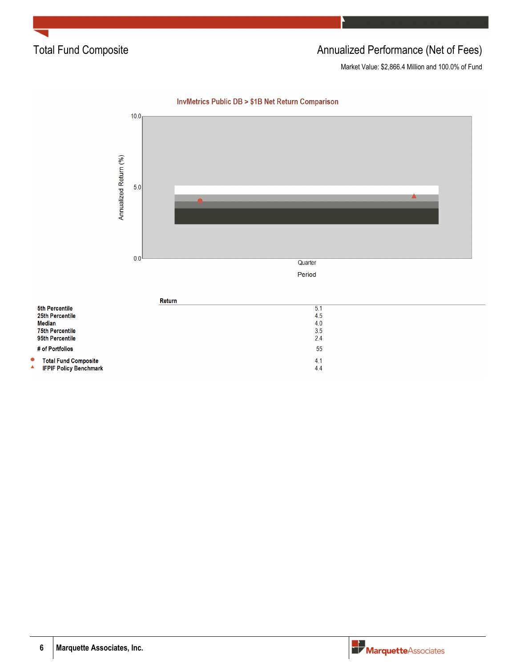

# Total Fund Composite **Annualized Performance (Net of Fees)** Annualized Performance (Net of Fees)

Market Value: \$2,866.4 Million and 100.0% of Fund



### **InvMetrics Public DB > \$1B Net Return Comparison**

|                        | Return                                                       |            |
|------------------------|--------------------------------------------------------------|------------|
|                        | <b>5th Percentile</b>                                        | 5.1        |
|                        | 25th Percentile                                              | 4.5        |
|                        | Median                                                       | 4.0        |
| <b>75th Percentile</b> |                                                              | 3.5        |
|                        | 95th Percentile                                              | 2.4        |
|                        | # of Portfolios                                              | 55         |
| $\bullet$<br>▲         | <b>Total Fund Composite</b><br><b>IFPIF Policy Benchmark</b> | 4.1<br>4.4 |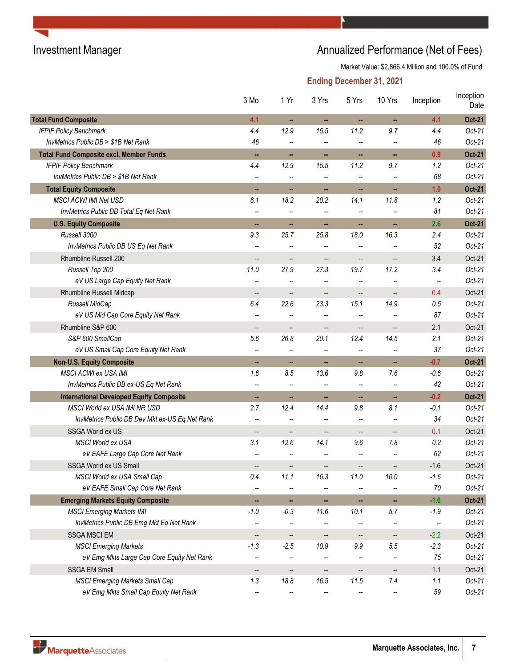# Investment Manager **Annualized Performance (Net of Fees)** Annualized Performance (Net of Fees)

Market Value: \$2,866.4 Million and 100.0% of Fund

|                                                 | 3 Mo                     | 1 Yr                     | 3 Yrs                    | 5 Yrs                    | 10 Yrs                       | Inception | Inception<br>Date |
|-------------------------------------------------|--------------------------|--------------------------|--------------------------|--------------------------|------------------------------|-----------|-------------------|
| <b>Total Fund Composite</b>                     | 4.1                      | н,                       | н,                       | н,                       | н,                           | 4.1       | <b>Oct-21</b>     |
| <b>IFPIF Policy Benchmark</b>                   | 4.4                      | 12.9                     | 15.5                     | 11.2                     | 9.7                          | 4.4       | $Oct-21$          |
| InvMetrics Public DB > \$1B Net Rank            | 46                       | $-$                      | --                       | --                       |                              | 46        | $Oct-21$          |
| <b>Total Fund Composite excl. Member Funds</b>  | н,                       | н,                       | н,                       | .,                       | $\blacksquare$               | 0.9       | <b>Oct-21</b>     |
| <b>IFPIF Policy Benchmark</b>                   | 4.4                      | 12.9                     | 15.5                     | 11.2                     | 9.7                          | 1.2       | $Oct-21$          |
| InvMetrics Public DB > \$1B Net Rank            | $\overline{\phantom{m}}$ | --                       | --                       |                          |                              | 68        | $Oct-21$          |
| <b>Total Equity Composite</b>                   | н,                       | ш,                       | н,                       |                          |                              | 1.0       | <b>Oct-21</b>     |
| <b>MSCI ACWI IMI Net USD</b>                    | 6.1                      | 18.2                     | 20.2                     | 14.1                     | 11.8                         | 1.2       | $Oct-21$          |
| InvMetrics Public DB Total Eq Net Rank          | $\overline{\phantom{a}}$ | --                       | --                       | --                       |                              | 81        | $Oct-21$          |
| <b>U.S. Equity Composite</b>                    | н.                       | н,                       | н,                       | н,                       | н,                           | 2.6       | <b>Oct-21</b>     |
| Russell 3000                                    | 9.3                      | 25.7                     | 25.8                     | 18.0                     | 16.3                         | 2.4       | $Oct-21$          |
| InvMetrics Public DB US Eq Net Rank             | $\overline{\phantom{m}}$ | --                       |                          | --                       |                              | 52        | $Oct-21$          |
| Rhumbline Russell 200                           | $\overline{\phantom{a}}$ | $\overline{\phantom{a}}$ | $\overline{\phantom{a}}$ | $\overline{\phantom{a}}$ | $\overline{\phantom{a}}$     | 3.4       | Oct-21            |
| Russell Top 200                                 | 11.0                     | 27.9                     | 27.3                     | 19.7                     | 17.2                         | 3.4       | $Oct-21$          |
| eV US Large Cap Equity Net Rank                 | $\overline{a}$           | --                       |                          |                          |                              |           | $Oct-21$          |
| Rhumbline Russell Midcap                        | $\overline{\phantom{a}}$ | --                       | --                       | --                       | --                           | 0.4       | Oct-21            |
| Russell MidCap                                  | 6.4                      | 22.6                     | 23.3                     | 15.1                     | 14.9                         | 0.5       | $Oct-21$          |
| eV US Mid Cap Core Equity Net Rank              | $-$                      | $-$                      |                          |                          |                              | 87        | $Oct-21$          |
| Rhumbline S&P 600                               | --                       | $\overline{\phantom{a}}$ | --                       | --                       | --                           | 2.1       | Oct-21            |
| S&P 600 SmallCap                                | 5.6                      | 26.8                     | 20.1                     | 12.4                     | 14.5                         | 2.1       | $Oct-21$          |
| eV US Small Cap Core Equity Net Rank            | $\overline{\phantom{a}}$ | $\overline{\phantom{a}}$ | --                       | $\overline{\phantom{0}}$ |                              | 37        | $Oct-21$          |
| <b>Non-U.S. Equity Composite</b>                | н,                       | н,                       | .,                       |                          | .,                           | $-0.7$    | <b>Oct-21</b>     |
| <b>MSCI ACWI ex USA IMI</b>                     | 1.6                      | 8.5                      | 13.6                     | 9.8                      | 7.6                          | $-0.6$    | $Oct-21$          |
| InvMetrics Public DB ex-US Eq Net Rank          | $\overline{\phantom{a}}$ | --                       | $\overline{\phantom{a}}$ | $\overline{\phantom{a}}$ | $\overline{\phantom{a}}$     | 42        | $Oct-21$          |
| <b>International Developed Equity Composite</b> | н,                       | ш,                       | н,                       |                          | $\blacksquare$               | $-0.2$    | <b>Oct-21</b>     |
| MSCI World ex USA IMI NR USD                    | 2.7                      | 12.4                     | 14.4                     | 9.8                      | 8.1                          | $-0.1$    | $Oct-21$          |
| InvMetrics Public DB Dev Mkt ex-US Eq Net Rank  | $\overline{\phantom{a}}$ | --                       | --                       | --                       |                              | 34        | $Oct-21$          |
| SSGA World ex US                                | --                       | --                       | --                       | $\overline{\phantom{a}}$ | $\qquad \qquad \blacksquare$ | 0.1       | Oct-21            |
| <b>MSCI World ex USA</b>                        | 3.1                      | 12.6                     | 14.1                     | 9.6                      | 7.8                          | 0.2       | $Oct-21$          |
| eV EAFE Large Cap Core Net Rank                 |                          |                          |                          |                          |                              | 62        | $Oct-21$          |
| SSGA World ex US Small                          |                          |                          |                          |                          |                              | $-1.6$    | Oct-21            |
| MSCI World ex USA Small Cap                     | 0.4                      | 11.1                     | 16.3                     | 11.0                     | 10.0                         | $-1.6$    | $Oct-21$          |
| eV EAFE Small Cap Core Net Rank                 | --                       |                          |                          |                          |                              | 70        | $Oct-21$          |
| <b>Emerging Markets Equity Composite</b>        | н,                       | ш,                       | н.                       | ш,                       | ш,                           | $-1.6$    | <b>Oct-21</b>     |
| <b>MSCI Emerging Markets IMI</b>                | $-1.0$                   | $-0.3$                   | 11.6                     | 10.1                     | 5.7                          | $-1.9$    | $Oct-21$          |
| InvMetrics Public DB Emg Mkt Eq Net Rank        | --                       |                          |                          |                          |                              | --        | $Oct-21$          |
| <b>SSGA MSCI EM</b>                             | --                       | --                       | $\qquad \qquad \cdots$   | $\overline{\phantom{a}}$ | --                           | $-2.2$    | Oct-21            |
| <b>MSCI Emerging Markets</b>                    | $-1.3$                   | $-2.5$                   | 10.9                     | 9.9                      | 5.5                          | $-2.3$    | $Oct-21$          |
| eV Emg Mkts Large Cap Core Equity Net Rank      |                          | --                       |                          |                          |                              | 75        | $Oct-21$          |
| <b>SSGA EM Small</b>                            | $\overline{\phantom{a}}$ | $\qquad \qquad -$        | --                       | --                       | --                           | 1.1       | Oct-21            |
| <b>MSCI Emerging Markets Small Cap</b>          | 1.3                      | 18.8                     | 16.5                     | 11.5                     | 7.4                          | 1.1       | $Oct-21$          |
| eV Emg Mkts Small Cap Equity Net Rank           | $\overline{\phantom{a}}$ | --                       |                          |                          |                              | 59        | $Oct-21$          |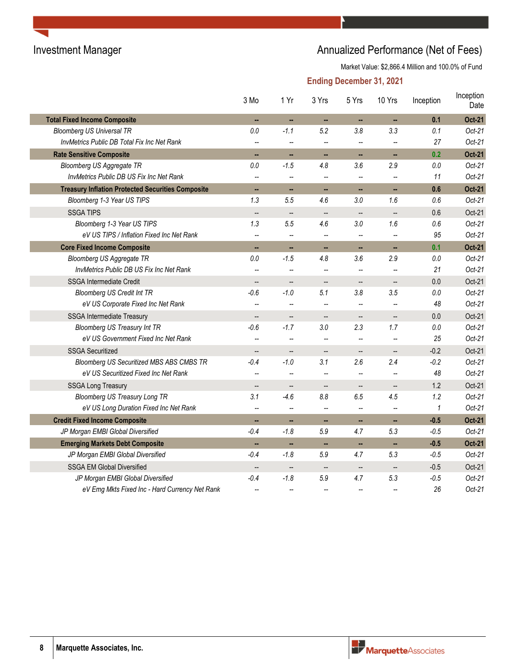# Investment Manager **Annualized Performance (Net of Fees)** Annualized Performance (Net of Fees)

Market Value: \$2,866.4 Million and 100.0% of Fund

|                                                          | 3 Mo                     | 1 Yr                     | 3 Yrs                    | 5 Yrs                    | 10 Yrs                   | Inception | Inception<br>Date |
|----------------------------------------------------------|--------------------------|--------------------------|--------------------------|--------------------------|--------------------------|-----------|-------------------|
| <b>Total Fixed Income Composite</b>                      | н,                       | н.                       | н,                       |                          | ш,                       | 0.1       | <b>Oct-21</b>     |
| <b>Bloomberg US Universal TR</b>                         | 0.0                      | $-1.1$                   | 5.2                      | 3.8                      | 3.3                      | 0.1       | $Oct-21$          |
| InvMetrics Public DB Total Fix Inc Net Rank              | --                       | $\overline{\phantom{a}}$ | $\overline{\phantom{a}}$ | $\overline{a}$           |                          | 27        | $Oct-21$          |
| <b>Rate Sensitive Composite</b>                          | ш,                       | н.                       | н.                       | н,                       | ш,                       | 0.2       | <b>Oct-21</b>     |
| Bloomberg US Aggregate TR                                | 0.0                      | $-1.5$                   | 4.8                      | 3.6                      | 2.9                      | 0.0       | $Oct-21$          |
| InvMetrics Public DB US Fix Inc Net Rank                 | --                       | $\overline{\phantom{a}}$ | $\overline{\phantom{a}}$ | $\overline{\phantom{a}}$ |                          | 11        | $Oct-21$          |
| <b>Treasury Inflation Protected Securities Composite</b> | ш,                       | н,                       | н,                       | н,                       | ш,                       | 0.6       | <b>Oct-21</b>     |
| Bloomberg 1-3 Year US TIPS                               | 1.3                      | 5.5                      | 4.6                      | 3.0                      | 1.6                      | 0.6       | $Oct-21$          |
| <b>SSGA TIPS</b>                                         | $\overline{\phantom{a}}$ | $\overline{\phantom{a}}$ | $\qquad \qquad -$        | --                       |                          | 0.6       | Oct-21            |
| Bloomberg 1-3 Year US TIPS                               | 1.3                      | 5.5                      | 4.6                      | 3.0                      | 1.6                      | 0.6       | $Oct-21$          |
| eV US TIPS / Inflation Fixed Inc Net Rank                | Ξ.                       | $\overline{\phantom{a}}$ | $\overline{\phantom{a}}$ | $\overline{\phantom{a}}$ |                          | 95        | $Oct-21$          |
| <b>Core Fixed Income Composite</b>                       | ä,                       | $\overline{\phantom{a}}$ | $\overline{\phantom{a}}$ | н,                       | ÷.                       | 0.1       | <b>Oct-21</b>     |
| Bloomberg US Aggregate TR                                | 0.0                      | $-1.5$                   | 4.8                      | 3.6                      | 2.9                      | 0.0       | $Oct-21$          |
| InvMetrics Public DB US Fix Inc Net Rank                 |                          |                          |                          |                          |                          | 21        | $Oct-21$          |
| <b>SSGA Intermediate Credit</b>                          | $\overline{\phantom{a}}$ | $\overline{\phantom{a}}$ | $\overline{\phantom{a}}$ | $\overline{\phantom{a}}$ |                          | 0.0       | Oct-21            |
| <b>Bloomberg US Credit Int TR</b>                        | $-0.6$                   | $-1.0$                   | 5.1                      | 3.8                      | 3.5                      | 0.0       | $Oct-21$          |
| eV US Corporate Fixed Inc Net Rank                       | --                       | $\overline{\phantom{a}}$ | --                       | --                       |                          | 48        | $Oct-21$          |
| <b>SSGA Intermediate Treasury</b>                        | --                       | $\overline{\phantom{a}}$ | --                       | $\qquad \qquad -$        |                          | 0.0       | Oct-21            |
| Bloomberg US Treasury Int TR                             | $-0.6$                   | $-1.7$                   | 3.0                      | 2.3                      | 1.7                      | 0.0       | $Oct-21$          |
| eV US Government Fixed Inc Net Rank                      | $\overline{a}$           | $\overline{\phantom{a}}$ | $\overline{\phantom{a}}$ | $\overline{\phantom{a}}$ |                          | 25        | $Oct-21$          |
| <b>SSGA Securitized</b>                                  | --                       | $\overline{\phantom{a}}$ | $\qquad \qquad \qquad -$ | --                       | --                       | $-0.2$    | Oct-21            |
| <b>Bloomberg US Securitized MBS ABS CMBS TR</b>          | $-0.4$                   | $-1.0$                   | 3.1                      | 2.6                      | 2.4                      | $-0.2$    | $Oct-21$          |
| eV US Securitized Fixed Inc Net Rank                     | -−                       | $\overline{a}$           | $\overline{\phantom{a}}$ | $\overline{a}$           |                          | 48        | $Oct-21$          |
| <b>SSGA Long Treasury</b>                                | $\overline{\phantom{a}}$ | $\overline{\phantom{a}}$ | $\qquad \qquad -$        | --                       | $\overline{\phantom{a}}$ | 1.2       | Oct-21            |
| <b>Bloomberg US Treasury Long TR</b>                     | 3.1                      | $-4.6$                   | 8.8                      | 6.5                      | 4.5                      | 1.2       | $Oct-21$          |
| eV US Long Duration Fixed Inc Net Rank                   | --                       | $\overline{\phantom{a}}$ | --                       |                          |                          | 1         | $Oct-21$          |
| <b>Credit Fixed Income Composite</b>                     | ш,                       | ш,                       | н,                       | н,                       | ш,                       | $-0.5$    | <b>Oct-21</b>     |
| JP Morgan EMBI Global Diversified                        | $-0.4$                   | $-1.8$                   | 5.9                      | 4.7                      | 5.3                      | $-0.5$    | $Oct-21$          |
| <b>Emerging Markets Debt Composite</b>                   | ш,                       | ш,                       | н.                       | ш,                       | $\sim$                   | $-0.5$    | <b>Oct-21</b>     |
| JP Morgan EMBI Global Diversified                        | $-0.4$                   | $-1.8$                   | 5.9                      | 4.7                      | 5.3                      | $-0.5$    | $Oct-21$          |
| <b>SSGA EM Global Diversified</b>                        | $\overline{\phantom{a}}$ | $\overline{\phantom{a}}$ | $\qquad \qquad -$        | $\overline{\phantom{a}}$ | $\overline{\phantom{a}}$ | $-0.5$    | Oct-21            |
| JP Morgan EMBI Global Diversified                        | $-0.4$                   | $-1.8$                   | 5.9                      | 4.7                      | 5.3                      | $-0.5$    | $Oct-21$          |
| eV Emg Mkts Fixed Inc - Hard Currency Net Rank           |                          |                          |                          |                          |                          | 26        | $Oct-21$          |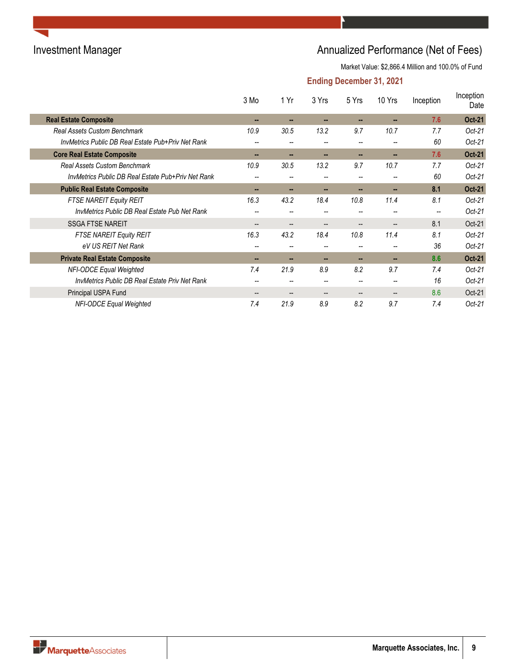# Investment Manager **Annualized Performance (Net of Fees)** Annualized Performance (Net of Fees)

Market Value: \$2,866.4 Million and 100.0% of Fund

|                                                       | 3 Mo                     | 1 Yr                     | 3 Yrs                    | 5 Yrs                                 | 10 Yrs | Inception | Inception<br>Date |
|-------------------------------------------------------|--------------------------|--------------------------|--------------------------|---------------------------------------|--------|-----------|-------------------|
| <b>Real Estate Composite</b>                          | --                       | --                       | --                       | --                                    |        | 7.6       | <b>Oct-21</b>     |
| <b>Real Assets Custom Benchmark</b>                   | 10.9                     | 30.5                     | 13.2                     | 9.7                                   | 10.7   | 7.7       | $Oct-21$          |
| InvMetrics Public DB Real Estate Pub+Priv Net Rank    | --                       |                          | --                       | $\overline{\phantom{m}}$              |        | 60        | $Oct-21$          |
| <b>Core Real Estate Composite</b>                     | --                       | --                       | --                       | --                                    |        | 7.6       | <b>Oct-21</b>     |
| <b>Real Assets Custom Benchmark</b>                   | 10.9                     | 30.5                     | 13.2                     | 9.7                                   | 10.7   | 7.7       | $Oct-21$          |
| InvMetrics Public DB Real Estate Pub+Priv Net Rank    | --                       |                          |                          |                                       |        | 60        | $Oct-21$          |
| <b>Public Real Estate Composite</b>                   | --                       | --                       | --                       |                                       |        | 8.1       | <b>Oct-21</b>     |
| FTSE NAREIT Equity REIT                               | 16.3                     | 43.2                     | 18.4                     | 10.8                                  | 11.4   | 8.1       | $Oct-21$          |
| InvMetrics Public DB Real Estate Pub Net Rank         | --                       |                          | --                       |                                       |        | --        | $Oct-21$          |
| <b>SSGA FTSE NAREIT</b>                               | $-$                      | $\overline{\phantom{a}}$ | $\overline{\phantom{a}}$ | $\hspace{0.05cm}$ – $\hspace{0.05cm}$ | --     | 8.1       | Oct-21            |
| FTSE NAREIT Equity REIT                               | 16.3                     | 43.2                     | 18.4                     | 10.8                                  | 11.4   | 8.1       | $Oct-21$          |
| eV US REIT Net Rank                                   | $\overline{\phantom{m}}$ | $\overline{\phantom{m}}$ | --                       | $\overline{\phantom{m}}$              | --     | 36        | $Oct-21$          |
| <b>Private Real Estate Composite</b>                  | --                       | --                       | --                       |                                       | --     | 8.6       | <b>Oct-21</b>     |
| <b>NFI-ODCE Equal Weighted</b>                        | 7.4                      | 21.9                     | 8.9                      | 8.2                                   | 9.7    | 7.4       | $Oct-21$          |
| <b>InvMetrics Public DB Real Estate Priv Net Rank</b> | --                       | $\overline{\phantom{a}}$ | --                       | $\overline{\phantom{a}}$              | --     | 16        | $Oct-21$          |
| Principal USPA Fund                                   | --                       | $\overline{\phantom{m}}$ | $\overline{\phantom{a}}$ |                                       |        | 8.6       | Oct-21            |
| NFI-ODCE Equal Weighted                               | 7.4                      | 21.9                     | 8.9                      | 8.2                                   | 9.7    | 7.4       | $Oct-21$          |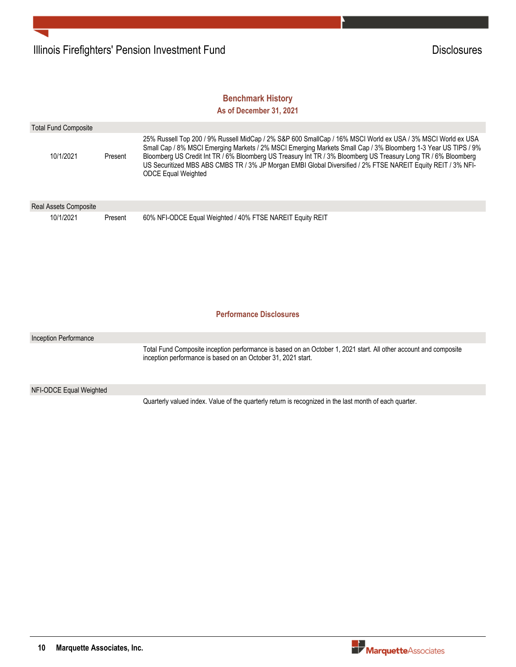## **Benchmark History**

**As of December 31, 2021**

| <b>Total Fund Composite</b> |         |                                                                                                                                                                                                                                                                                                                                                                                                                                                                                                |
|-----------------------------|---------|------------------------------------------------------------------------------------------------------------------------------------------------------------------------------------------------------------------------------------------------------------------------------------------------------------------------------------------------------------------------------------------------------------------------------------------------------------------------------------------------|
| 10/1/2021                   | Present | 25% Russell Top 200 / 9% Russell MidCap / 2% S&P 600 SmallCap / 16% MSCI World ex USA / 3% MSCI World ex USA<br>Small Cap / 8% MSCI Emerging Markets / 2% MSCI Emerging Markets Small Cap / 3% Bloomberg 1-3 Year US TIPS / 9%<br>Bloomberg US Credit Int TR / 6% Bloomberg US Treasury Int TR / 3% Bloomberg US Treasury Long TR / 6% Bloomberg<br>US Securitized MBS ABS CMBS TR / 3% JP Morgan EMBI Global Diversified / 2% FTSE NAREIT Equity REIT / 3% NFI-<br><b>ODCE Equal Weighted</b> |
| Real Assets Composite       |         |                                                                                                                                                                                                                                                                                                                                                                                                                                                                                                |
| 10/1/2021                   | Present | 60% NFI-ODCE Equal Weighted / 40% FTSE NAREIT Equity REIT<br><b>Performance Disclosures</b>                                                                                                                                                                                                                                                                                                                                                                                                    |
|                             |         |                                                                                                                                                                                                                                                                                                                                                                                                                                                                                                |
| Inception Performance       |         |                                                                                                                                                                                                                                                                                                                                                                                                                                                                                                |
|                             |         | Total Fund Composite inception performance is based on an October 1, 2021 start. All other account and composite<br>inception performance is based on an October 31, 2021 start.                                                                                                                                                                                                                                                                                                               |
| NFI-ODCE Equal Weighted     |         |                                                                                                                                                                                                                                                                                                                                                                                                                                                                                                |
|                             |         | Quarterly valued index. Value of the quarterly return is recognized in the last month of each quarter.                                                                                                                                                                                                                                                                                                                                                                                         |